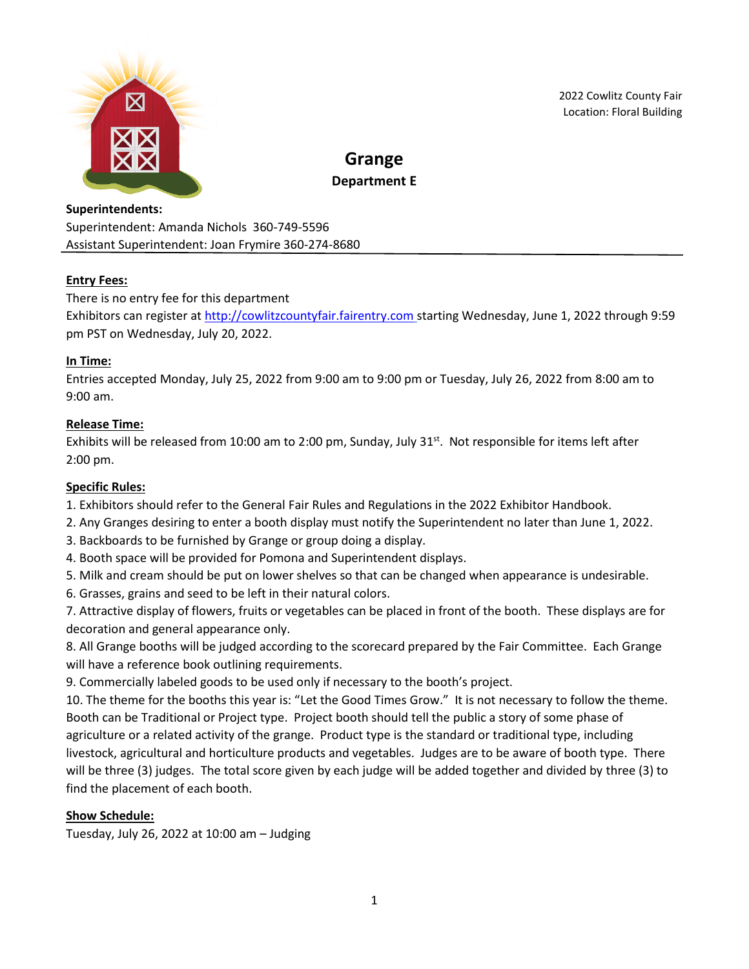

2022 Cowlitz County Fair Location: Floral Building

# **Grange Department E**

# **Superintendents:** Superintendent: Amanda Nichols 360-749-5596 Assistant Superintendent: Joan Frymire 360-274-8680

# **Entry Fees:**

# There is no entry fee for this department

Exhibitors can register at [http://cowlitzcountyfair.fairentry.com](http://cowlitzcountyfair.fairentry.com/) starting Wednesday, June 1, 2022 through 9:59 pm PST on Wednesday, July 20, 2022.

# **In Time:**

Entries accepted Monday, July 25, 2022 from 9:00 am to 9:00 pm or Tuesday, July 26, 2022 from 8:00 am to 9:00 am.

# **Release Time:**

Exhibits will be released from 10:00 am to 2:00 pm, Sunday, July 31<sup>st</sup>. Not responsible for items left after 2:00 pm.

### **Specific Rules:**

1. Exhibitors should refer to the General Fair Rules and Regulations in the 2022 Exhibitor Handbook.

2. Any Granges desiring to enter a booth display must notify the Superintendent no later than June 1, 2022.

- 3. Backboards to be furnished by Grange or group doing a display.
- 4. Booth space will be provided for Pomona and Superintendent displays.
- 5. Milk and cream should be put on lower shelves so that can be changed when appearance is undesirable.
- 6. Grasses, grains and seed to be left in their natural colors.

7. Attractive display of flowers, fruits or vegetables can be placed in front of the booth. These displays are for decoration and general appearance only.

8. All Grange booths will be judged according to the scorecard prepared by the Fair Committee. Each Grange will have a reference book outlining requirements.

9. Commercially labeled goods to be used only if necessary to the booth's project.

10. The theme for the booths this year is: "Let the Good Times Grow." It is not necessary to follow the theme. Booth can be Traditional or Project type. Project booth should tell the public a story of some phase of agriculture or a related activity of the grange. Product type is the standard or traditional type, including livestock, agricultural and horticulture products and vegetables. Judges are to be aware of booth type. There will be three (3) judges. The total score given by each judge will be added together and divided by three (3) to find the placement of each booth.

# **Show Schedule:**

Tuesday, July 26, 2022 at 10:00 am – Judging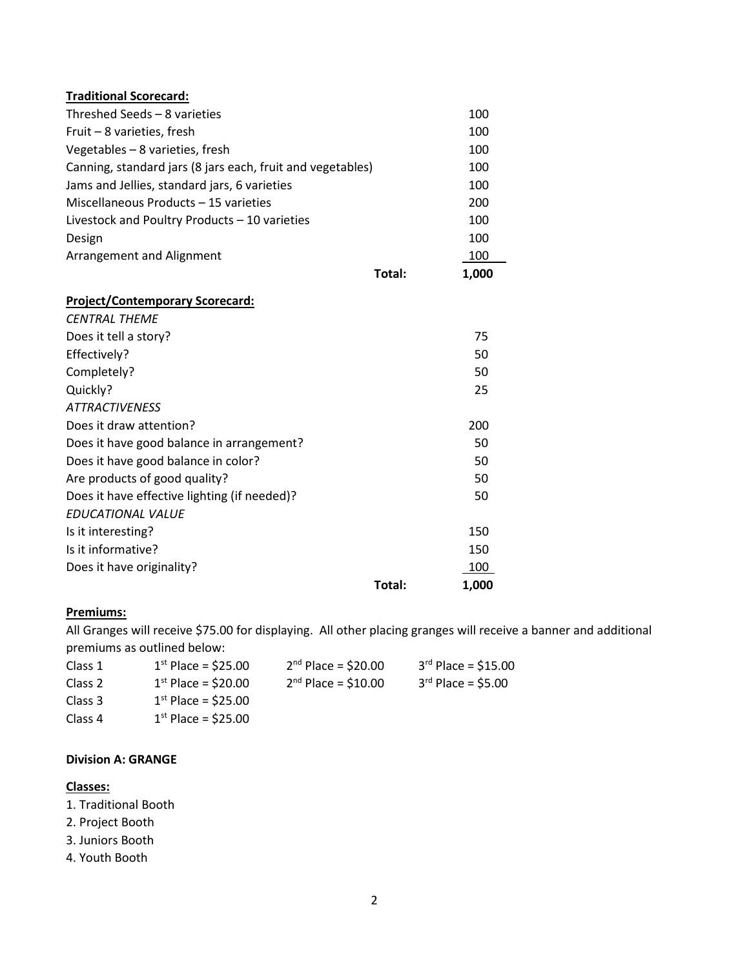| <b>Traditional Scorecard:</b>                              |        |       |
|------------------------------------------------------------|--------|-------|
| Threshed Seeds - 8 varieties                               |        | 100   |
| Fruit - 8 varieties, fresh                                 |        | 100   |
| Vegetables - 8 varieties, fresh                            |        | 100   |
| Canning, standard jars (8 jars each, fruit and vegetables) |        | 100   |
| Jams and Jellies, standard jars, 6 varieties               |        | 100   |
| Miscellaneous Products - 15 varieties                      |        | 200   |
| Livestock and Poultry Products - 10 varieties              |        | 100   |
| Design                                                     |        | 100   |
| Arrangement and Alignment                                  |        | 100   |
|                                                            | Total: | 1,000 |
| <b>Project/Contemporary Scorecard:</b>                     |        |       |
| <b>CENTRAL THEME</b>                                       |        |       |
| Does it tell a story?                                      |        | 75    |
| Effectively?                                               |        | 50    |
| Completely?                                                |        | 50    |
| Quickly?                                                   |        | 25    |
| <b>ATTRACTIVENESS</b>                                      |        |       |
| Does it draw attention?                                    |        | 200   |
| Does it have good balance in arrangement?                  |        | 50    |
| Does it have good balance in color?                        |        | 50    |
| Are products of good quality?                              |        | 50    |
| Does it have effective lighting (if needed)?               |        | 50    |
| <b>EDUCATIONAL VALUE</b>                                   |        |       |
| Is it interesting?                                         |        | 150   |
| Is it informative?                                         |        | 150   |
| Does it have originality?                                  |        | 100   |
|                                                            | Total: | 1,000 |

#### **Premiums:**

All Granges will receive \$75.00 for displaying. All other placing granges will receive a banner and additional premiums as outlined below:

| Class 1 | $1st$ Place = \$25.00 | $2nd$ Place = \$20.00 | $3^{rd}$ Place = \$15.00 |
|---------|-----------------------|-----------------------|--------------------------|
| Class 2 | $1st$ Place = \$20.00 | $2nd Place = $10.00$  | $3^{rd}$ Place = \$5.00  |
| Class 3 | $1st$ Place = \$25.00 |                       |                          |
| Class 4 | $1st$ Place = \$25.00 |                       |                          |

### **Division A: GRANGE**

# **Classes:**

- 1. Traditional Booth
- 2. Project Booth
- 3. Juniors Booth
- 4. Youth Booth